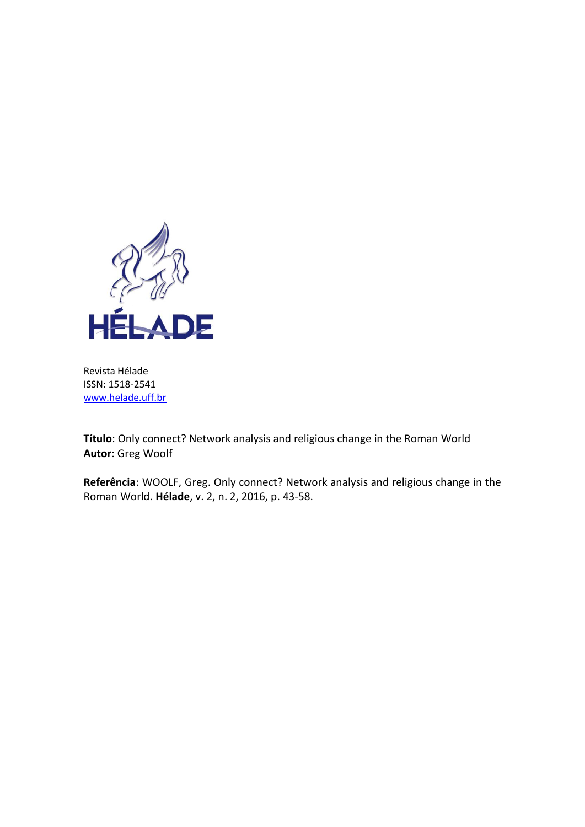

Revista Hélade ISSN: 1518-2541 [www.helade.uff.br](http://www.helade.uff.br/)

**Título**: Only connect? Network analysis and religious change in the Roman World **Autor**: Greg Woolf

**Referência**: WOOLF, Greg. Only connect? Network analysis and religious change in the Roman World. **Hélade**, v. 2, n. 2, 2016, p. 43-58.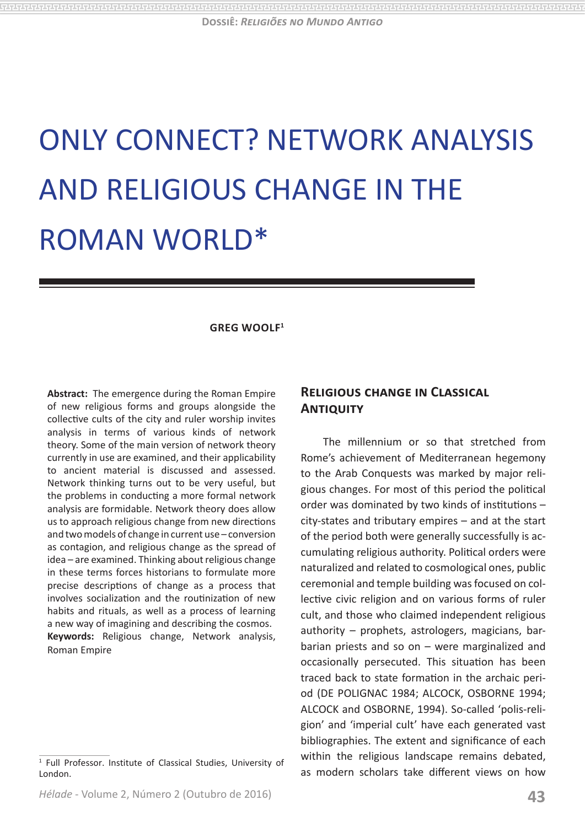**Dossiê:** *Religiões no Mundo Antigo*

# ONLY CONNECT? NETWORK ANALYSIS AND RELIGIOUS CHANGE IN THE ROMAN WORLD\*

#### **GREG WOOLF1**

**Abstract:** The emergence during the Roman Empire of new religious forms and groups alongside the collective cults of the city and ruler worship invites analysis in terms of various kinds of network theory. Some of the main version of network theory currently in use are examined, and their applicability to ancient material is discussed and assessed. Network thinking turns out to be very useful, but the problems in conducting a more formal network analysis are formidable. Network theory does allow us to approach religious change from new directions and two models of change in current use – conversion as contagion, and religious change as the spread of idea – are examined. Thinking about religious change in these terms forces historians to formulate more precise descriptions of change as a process that involves socialization and the routinization of new habits and rituals, as well as a process of learning a new way of imagining and describing the cosmos. **Keywords:** Religious change, Network analysis, Roman Empire

#### 1 Full Professor. Institute of Classical Studies, University of London.

## **Religious change in Classical Antiquity**

The millennium or so that stretched from Rome's achievement of Mediterranean hegemony to the Arab Conquests was marked by major religious changes. For most of this period the political order was dominated by two kinds of institutions – city-states and tributary empires – and at the start of the period both were generally successfully is accumulating religious authority. Political orders were naturalized and related to cosmological ones, public ceremonial and temple building was focused on collective civic religion and on various forms of ruler cult, and those who claimed independent religious authority – prophets, astrologers, magicians, barbarian priests and so on – were marginalized and occasionally persecuted. This situation has been traced back to state formation in the archaic period (DE POLIGNAC 1984; ALCOCK, OSBORNE 1994; ALCOCK and OSBORNE, 1994). So-called 'polis-religion' and 'imperial cult' have each generated vast bibliographies. The extent and significance of each within the religious landscape remains debated, as modern scholars take different views on how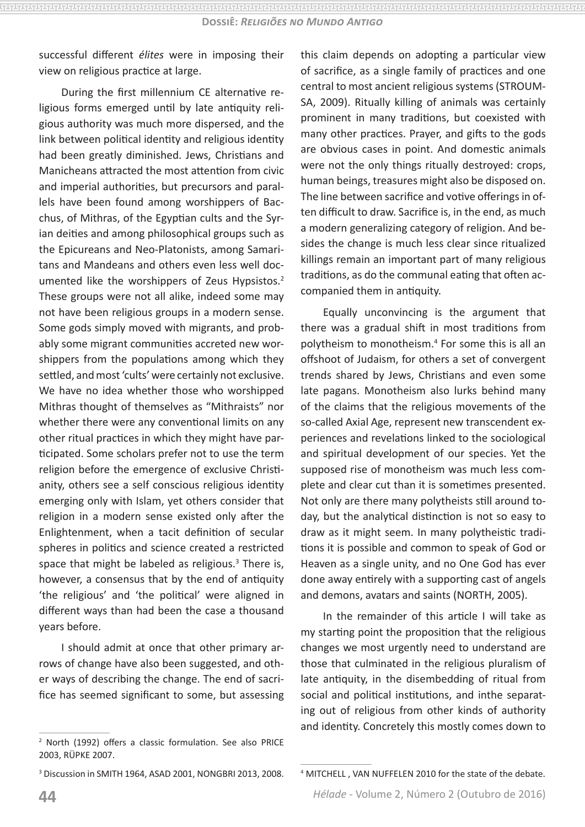successful different *élites* were in imposing their view on religious practice at large.

During the first millennium CE alternative religious forms emerged until by late antiquity religious authority was much more dispersed, and the link between political identity and religious identity had been greatly diminished. Jews, Christians and Manicheans attracted the most attention from civic and imperial authorities, but precursors and parallels have been found among worshippers of Bacchus, of Mithras, of the Egyptian cults and the Syrian deities and among philosophical groups such as the Epicureans and Neo-Platonists, among Samaritans and Mandeans and others even less well documented like the worshippers of Zeus Hypsistos.<sup>2</sup> These groups were not all alike, indeed some may not have been religious groups in a modern sense. Some gods simply moved with migrants, and probably some migrant communities accreted new worshippers from the populations among which they settled, and most 'cults' were certainly not exclusive. We have no idea whether those who worshipped Mithras thought of themselves as "Mithraists" nor whether there were any conventional limits on any other ritual practices in which they might have participated. Some scholars prefer not to use the term religion before the emergence of exclusive Christianity, others see a self conscious religious identity emerging only with Islam, yet others consider that religion in a modern sense existed only after the Enlightenment, when a tacit definition of secular spheres in politics and science created a restricted space that might be labeled as religious.<sup>3</sup> There is, however, a consensus that by the end of antiquity 'the religious' and 'the political' were aligned in different ways than had been the case a thousand years before.

I should admit at once that other primary arrows of change have also been suggested, and other ways of describing the change. The end of sacrifice has seemed significant to some, but assessing

3 Discussion in SMITH 1964, ASAD 2001, NONGBRI 2013, 2008.

this claim depends on adopting a particular view of sacrifice, as a single family of practices and one central to most ancient religious systems (STROUM-SA, 2009). Ritually killing of animals was certainly prominent in many traditions, but coexisted with many other practices. Prayer, and gifts to the gods are obvious cases in point. And domestic animals were not the only things ritually destroyed: crops, human beings, treasures might also be disposed on. The line between sacrifice and votive offerings in often difficult to draw. Sacrifice is, in the end, as much a modern generalizing category of religion. And besides the change is much less clear since ritualized killings remain an important part of many religious traditions, as do the communal eating that often accompanied them in antiquity.

Equally unconvincing is the argument that there was a gradual shift in most traditions from polytheism to monotheism.4 For some this is all an offshoot of Judaism, for others a set of convergent trends shared by Jews, Christians and even some late pagans. Monotheism also lurks behind many of the claims that the religious movements of the so-called Axial Age, represent new transcendent experiences and revelations linked to the sociological and spiritual development of our species. Yet the supposed rise of monotheism was much less complete and clear cut than it is sometimes presented. Not only are there many polytheists still around today, but the analytical distinction is not so easy to draw as it might seem. In many polytheistic traditions it is possible and common to speak of God or Heaven as a single unity, and no One God has ever done away entirely with a supporting cast of angels and demons, avatars and saints (NORTH, 2005).

In the remainder of this article I will take as my starting point the proposition that the religious changes we most urgently need to understand are those that culminated in the religious pluralism of late antiquity, in the disembedding of ritual from social and political institutions, and inthe separating out of religious from other kinds of authority and identity. Concretely this mostly comes down to

<sup>2</sup> North (1992) offers a classic formulation. See also PRICE 2003, RÜPKE 2007.

<sup>4</sup> MITCHELL , VAN NUFFELEN 2010 for the state of the debate.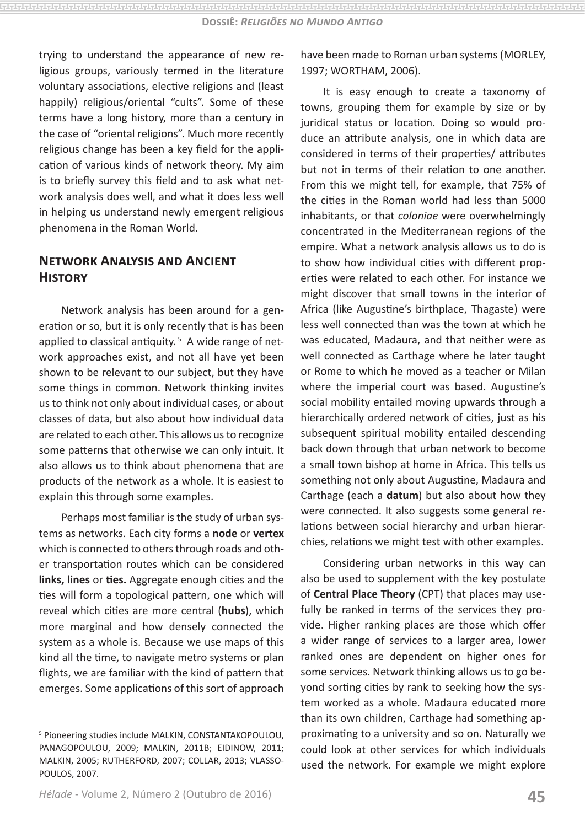trying to understand the appearance of new religious groups, variously termed in the literature voluntary associations, elective religions and (least happily) religious/oriental "cults". Some of these terms have a long history, more than a century in the case of "oriental religions". Much more recently religious change has been a key field for the application of various kinds of network theory. My aim is to briefly survey this field and to ask what network analysis does well, and what it does less well in helping us understand newly emergent religious phenomena in the Roman World.

## **Network Analysis and Ancient History**

Network analysis has been around for a generation or so, but it is only recently that is has been applied to classical antiquity. $5$  A wide range of network approaches exist, and not all have yet been shown to be relevant to our subject, but they have some things in common. Network thinking invites us to think not only about individual cases, or about classes of data, but also about how individual data are related to each other. This allows us to recognize some patterns that otherwise we can only intuit. It also allows us to think about phenomena that are products of the network as a whole. It is easiest to explain this through some examples.

Perhaps most familiar is the study of urban systems as networks. Each city forms a **node** or **vertex**  which is connected to others through roads and other transportation routes which can be considered **links, lines** or **ties.** Aggregate enough cities and the ties will form a topological pattern, one which will reveal which cities are more central (**hubs**), which more marginal and how densely connected the system as a whole is. Because we use maps of this kind all the time, to navigate metro systems or plan flights, we are familiar with the kind of pattern that emerges. Some applications of this sort of approach

have been made to Roman urban systems (MORLEY, 1997; WORTHAM, 2006).

It is easy enough to create a taxonomy of towns, grouping them for example by size or by juridical status or location. Doing so would produce an attribute analysis, one in which data are considered in terms of their properties/ attributes but not in terms of their relation to one another. From this we might tell, for example, that 75% of the cities in the Roman world had less than 5000 inhabitants, or that *coloniae* were overwhelmingly concentrated in the Mediterranean regions of the empire. What a network analysis allows us to do is to show how individual cities with different properties were related to each other. For instance we might discover that small towns in the interior of Africa (like Augustine's birthplace, Thagaste) were less well connected than was the town at which he was educated, Madaura, and that neither were as well connected as Carthage where he later taught or Rome to which he moved as a teacher or Milan where the imperial court was based. Augustine's social mobility entailed moving upwards through a hierarchically ordered network of cities, just as his subsequent spiritual mobility entailed descending back down through that urban network to become a small town bishop at home in Africa. This tells us something not only about Augustine, Madaura and Carthage (each a **datum**) but also about how they were connected. It also suggests some general relations between social hierarchy and urban hierarchies, relations we might test with other examples.

Considering urban networks in this way can also be used to supplement with the key postulate of **Central Place Theory** (CPT) that places may usefully be ranked in terms of the services they provide. Higher ranking places are those which offer a wider range of services to a larger area, lower ranked ones are dependent on higher ones for some services. Network thinking allows us to go beyond sorting cities by rank to seeking how the system worked as a whole. Madaura educated more than its own children, Carthage had something approximating to a university and so on. Naturally we could look at other services for which individuals used the network. For example we might explore

<sup>5</sup> Pioneering studies include MALKIN, CONSTANTAKOPOULOU, PANAGOPOULOU, 2009; MALKIN, 2011B; EIDINOW, 2011; MALKIN, 2005; RUTHERFORD, 2007; COLLAR, 2013; VLASSO-POULOS, 2007.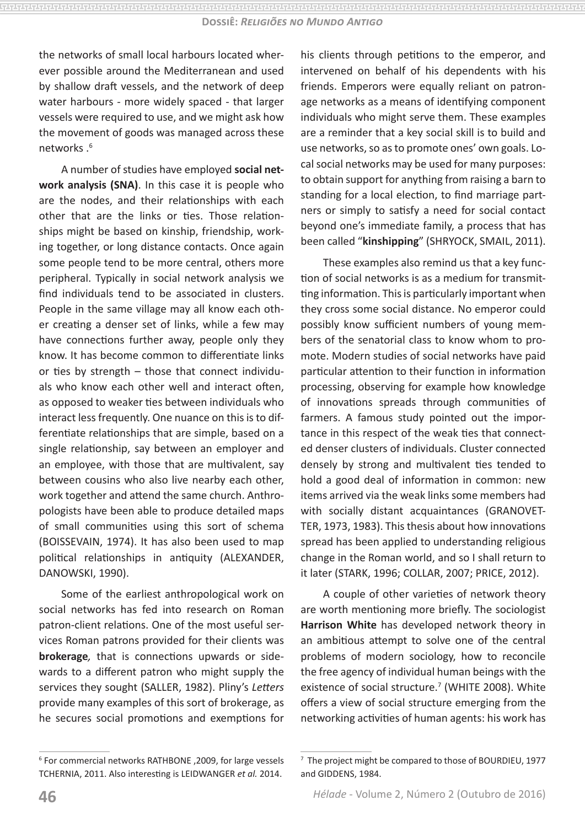the networks of small local harbours located wherever possible around the Mediterranean and used by shallow draft vessels, and the network of deep water harbours - more widely spaced - that larger vessels were required to use, and we might ask how the movement of goods was managed across these networks .6

A number of studies have employed **social network analysis (SNA)**. In this case it is people who are the nodes, and their relationships with each other that are the links or ties. Those relationships might be based on kinship, friendship, working together, or long distance contacts. Once again some people tend to be more central, others more peripheral. Typically in social network analysis we find individuals tend to be associated in clusters. People in the same village may all know each other creating a denser set of links, while a few may have connections further away, people only they know. It has become common to differentiate links or ties by strength – those that connect individuals who know each other well and interact often, as opposed to weaker ties between individuals who interact less frequently. One nuance on this is to differentiate relationships that are simple, based on a single relationship, say between an employer and an employee, with those that are multivalent, say between cousins who also live nearby each other, work together and attend the same church. Anthropologists have been able to produce detailed maps of small communities using this sort of schema (BOISSEVAIN, 1974). It has also been used to map political relationships in antiquity (ALEXANDER, DANOWSKI, 1990).

Some of the earliest anthropological work on social networks has fed into research on Roman patron-client relations. One of the most useful services Roman patrons provided for their clients was **brokerage***,* that is connections upwards or sidewards to a different patron who might supply the services they sought (SALLER, 1982). Pliny's *Letters* provide many examples of this sort of brokerage, as he secures social promotions and exemptions for his clients through petitions to the emperor, and intervened on behalf of his dependents with his friends. Emperors were equally reliant on patronage networks as a means of identifying component individuals who might serve them. These examples are a reminder that a key social skill is to build and use networks, so as to promote ones' own goals. Local social networks may be used for many purposes: to obtain support for anything from raising a barn to standing for a local election, to find marriage partners or simply to satisfy a need for social contact beyond one's immediate family, a process that has been called "**kinshipping**" (SHRYOCK, SMAIL, 2011).

These examples also remind us that a key function of social networks is as a medium for transmitting information. This is particularly important when they cross some social distance. No emperor could possibly know sufficient numbers of young members of the senatorial class to know whom to promote. Modern studies of social networks have paid particular attention to their function in information processing, observing for example how knowledge of innovations spreads through communities of farmers. A famous study pointed out the importance in this respect of the weak ties that connected denser clusters of individuals. Cluster connected densely by strong and multivalent ties tended to hold a good deal of information in common: new items arrived via the weak links some members had with socially distant acquaintances (GRANOVET-TER, 1973, 1983). This thesis about how innovations spread has been applied to understanding religious change in the Roman world, and so I shall return to it later (STARK, 1996; COLLAR, 2007; PRICE, 2012).

A couple of other varieties of network theory are worth mentioning more briefly. The sociologist **Harrison White** has developed network theory in an ambitious attempt to solve one of the central problems of modern sociology, how to reconcile the free agency of individual human beings with the existence of social structure.<sup>7</sup> (WHITE 2008). White offers a view of social structure emerging from the networking activities of human agents: his work has

<sup>6</sup> For commercial networks RATHBONE ,2009, for large vessels TCHERNIA, 2011. Also interesting is LEIDWANGER *et al.* 2014.

<sup>7</sup> The project might be compared to those of BOURDIEU, 1977 and GIDDENS, 1984.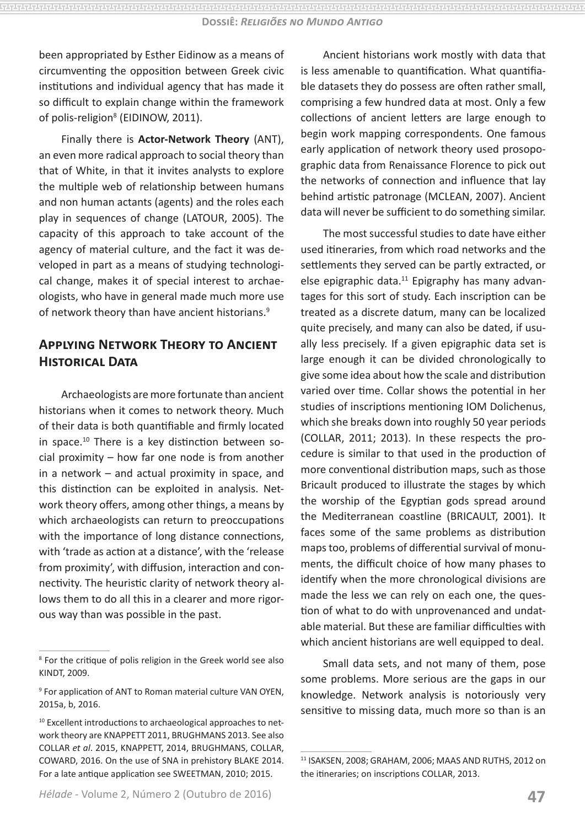been appropriated by Esther Eidinow as a means of circumventing the opposition between Greek civic institutions and individual agency that has made it so difficult to explain change within the framework of polis-religion<sup>8</sup> (EIDINOW, 2011).

Finally there is **Actor-Network Theory** (ANT), an even more radical approach to social theory than that of White, in that it invites analysts to explore the multiple web of relationship between humans and non human actants (agents) and the roles each play in sequences of change (LATOUR, 2005). The capacity of this approach to take account of the agency of material culture, and the fact it was developed in part as a means of studying technological change, makes it of special interest to archaeologists, who have in general made much more use of network theory than have ancient historians.<sup>9</sup>

# **Applying Network Theory to Ancient Historical Data**

Archaeologists are more fortunate than ancient historians when it comes to network theory. Much of their data is both quantifiable and firmly located in space.10 There is a key distinction between social proximity – how far one node is from another in a network – and actual proximity in space, and this distinction can be exploited in analysis. Network theory offers, among other things, a means by which archaeologists can return to preoccupations with the importance of long distance connections, with 'trade as action at a distance', with the 'release from proximity', with diffusion, interaction and connectivity. The heuristic clarity of network theory allows them to do all this in a clearer and more rigorous way than was possible in the past.

Ancient historians work mostly with data that is less amenable to quantification. What quantifiable datasets they do possess are often rather small, comprising a few hundred data at most. Only a few collections of ancient letters are large enough to begin work mapping correspondents. One famous early application of network theory used prosopographic data from Renaissance Florence to pick out the networks of connection and influence that lay behind artistic patronage (MCLEAN, 2007). Ancient data will never be sufficient to do something similar.

The most successful studies to date have either used itineraries, from which road networks and the settlements they served can be partly extracted, or else epigraphic data. $11$  Epigraphy has many advantages for this sort of study. Each inscription can be treated as a discrete datum, many can be localized quite precisely, and many can also be dated, if usually less precisely. If a given epigraphic data set is large enough it can be divided chronologically to give some idea about how the scale and distribution varied over time. Collar shows the potential in her studies of inscriptions mentioning IOM Dolichenus, which she breaks down into roughly 50 year periods (COLLAR, 2011; 2013). In these respects the procedure is similar to that used in the production of more conventional distribution maps, such as those Bricault produced to illustrate the stages by which the worship of the Egyptian gods spread around the Mediterranean coastline (BRICAULT, 2001). It faces some of the same problems as distribution maps too, problems of differential survival of monuments, the difficult choice of how many phases to identify when the more chronological divisions are made the less we can rely on each one, the question of what to do with unprovenanced and undatable material. But these are familiar difficulties with which ancient historians are well equipped to deal.

Small data sets, and not many of them, pose some problems. More serious are the gaps in our knowledge. Network analysis is notoriously very sensitive to missing data, much more so than is an

<sup>8</sup> For the critique of polis religion in the Greek world see also KINDT, 2009.

<sup>9</sup> For application of ANT to Roman material culture VAN OYEN, 2015a, b, 2016.

<sup>&</sup>lt;sup>10</sup> Excellent introductions to archaeological approaches to network theory are KNAPPETT 2011, BRUGHMANS 2013. See also COLLAR *et al*. 2015, KNAPPETT, 2014, BRUGHMANS, COLLAR, COWARD, 2016. On the use of SNA in prehistory BLAKE 2014. For a late antique application see SWEETMAN, 2010; 2015.

<sup>11</sup> ISAKSEN, 2008; GRAHAM, 2006; MAAS AND RUTHS, 2012 on the itineraries; on inscriptions COLLAR, 2013.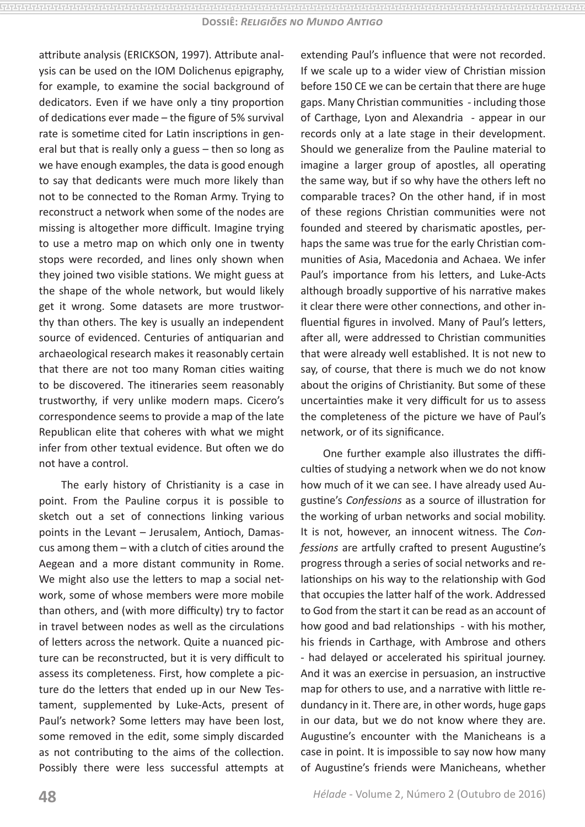attribute analysis (ERICKSON, 1997). Attribute analysis can be used on the IOM Dolichenus epigraphy, for example, to examine the social background of dedicators. Even if we have only a tiny proportion of dedications ever made – the figure of 5% survival rate is sometime cited for Latin inscriptions in general but that is really only a guess – then so long as we have enough examples, the data is good enough to say that dedicants were much more likely than not to be connected to the Roman Army. Trying to reconstruct a network when some of the nodes are missing is altogether more difficult. Imagine trying to use a metro map on which only one in twenty stops were recorded, and lines only shown when they joined two visible stations. We might guess at the shape of the whole network, but would likely get it wrong. Some datasets are more trustworthy than others. The key is usually an independent source of evidenced. Centuries of antiquarian and archaeological research makes it reasonably certain that there are not too many Roman cities waiting to be discovered. The itineraries seem reasonably trustworthy, if very unlike modern maps. Cicero's correspondence seems to provide a map of the late Republican elite that coheres with what we might infer from other textual evidence. But often we do not have a control.

The early history of Christianity is a case in point. From the Pauline corpus it is possible to sketch out a set of connections linking various points in the Levant – Jerusalem, Antioch, Damascus among them – with a clutch of cities around the Aegean and a more distant community in Rome. We might also use the letters to map a social network, some of whose members were more mobile than others, and (with more difficulty) try to factor in travel between nodes as well as the circulations of letters across the network. Quite a nuanced picture can be reconstructed, but it is very difficult to assess its completeness. First, how complete a picture do the letters that ended up in our New Testament, supplemented by Luke-Acts, present of Paul's network? Some letters may have been lost, some removed in the edit, some simply discarded as not contributing to the aims of the collection. Possibly there were less successful attempts at

extending Paul's influence that were not recorded. If we scale up to a wider view of Christian mission before 150 CE we can be certain that there are huge gaps. Many Christian communities - including those of Carthage, Lyon and Alexandria - appear in our records only at a late stage in their development. Should we generalize from the Pauline material to imagine a larger group of apostles, all operating the same way, but if so why have the others left no comparable traces? On the other hand, if in most of these regions Christian communities were not founded and steered by charismatic apostles, perhaps the same was true for the early Christian communities of Asia, Macedonia and Achaea. We infer Paul's importance from his letters, and Luke-Acts although broadly supportive of his narrative makes it clear there were other connections, and other influential figures in involved. Many of Paul's letters, after all, were addressed to Christian communities that were already well established. It is not new to say, of course, that there is much we do not know about the origins of Christianity. But some of these uncertainties make it very difficult for us to assess the completeness of the picture we have of Paul's network, or of its significance.

One further example also illustrates the difficulties of studying a network when we do not know how much of it we can see. I have already used Augustine's *Confessions* as a source of illustration for the working of urban networks and social mobility. It is not, however, an innocent witness. The *Confessions* are artfully crafted to present Augustine's progress through a series of social networks and relationships on his way to the relationship with God that occupies the latter half of the work. Addressed to God from the start it can be read as an account of how good and bad relationships - with his mother, his friends in Carthage, with Ambrose and others - had delayed or accelerated his spiritual journey. And it was an exercise in persuasion, an instructive map for others to use, and a narrative with little redundancy in it. There are, in other words, huge gaps in our data, but we do not know where they are. Augustine's encounter with the Manicheans is a case in point. It is impossible to say now how many of Augustine's friends were Manicheans, whether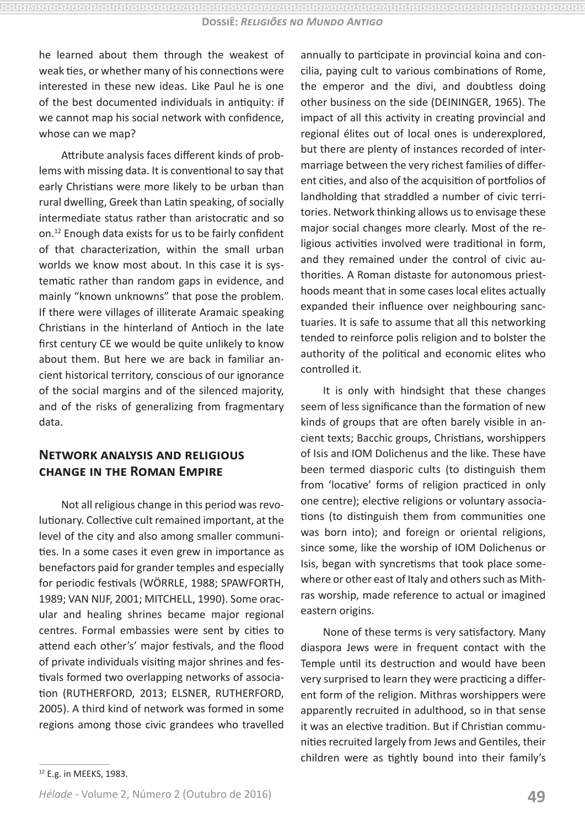he learned about them through the weakest of weak ties, or whether many of his connections were interested in these new ideas. Like Paul he is one of the best documented individuals in antiquity: if we cannot map his social network with confidence, whose can we map?

Attribute analysis faces different kinds of problems with missing data. It is conventional to say that early Christians were more likely to be urban than rural dwelling, Greek than Latin speaking, of socially intermediate status rather than aristocratic and so on.12 Enough data exists for us to be fairly confident of that characterization, within the small urban worlds we know most about. In this case it is systematic rather than random gaps in evidence, and mainly "known unknowns" that pose the problem. If there were villages of illiterate Aramaic speaking Christians in the hinterland of Antioch in the late first century CE we would be quite unlikely to know about them. But here we are back in familiar ancient historical territory, conscious of our ignorance of the social margins and of the silenced majority, and of the risks of generalizing from fragmentary data.

## **Network analysis and religious change in the Roman Empire**

Not all religious change in this period was revolutionary. Collective cult remained important, at the level of the city and also among smaller communities. In a some cases it even grew in importance as benefactors paid for grander temples and especially for periodic festivals (WÖRRLE, 1988; SPAWFORTH, 1989; VAN NIJF, 2001; MITCHELL, 1990). Some oracular and healing shrines became major regional centres. Formal embassies were sent by cities to attend each other's' major festivals, and the flood of private individuals visiting major shrines and festivals formed two overlapping networks of association (RUTHERFORD, 2013; ELSNER, RUTHERFORD, 2005). A third kind of network was formed in some regions among those civic grandees who travelled

annually to participate in provincial koina and concilia, paying cult to various combinations of Rome, the emperor and the divi, and doubtless doing other business on the side (DEININGER, 1965). The impact of all this activity in creating provincial and regional élites out of local ones is underexplored, but there are plenty of instances recorded of intermarriage between the very richest families of different cities, and also of the acquisition of portfolios of landholding that straddled a number of civic territories. Network thinking allows us to envisage these major social changes more clearly. Most of the religious activities involved were traditional in form, and they remained under the control of civic authorities. A Roman distaste for autonomous priesthoods meant that in some cases local elites actually expanded their influence over neighbouring sanctuaries. It is safe to assume that all this networking tended to reinforce polis religion and to bolster the authority of the political and economic elites who controlled it.

It is only with hindsight that these changes seem of less significance than the formation of new kinds of groups that are often barely visible in ancient texts; Bacchic groups, Christians, worshippers of Isis and IOM Dolichenus and the like. These have been termed diasporic cults (to distinguish them from 'locative' forms of religion practiced in only one centre); elective religions or voluntary associations (to distinguish them from communities one was born into); and foreign or oriental religions, since some, like the worship of IOM Dolichenus or Isis, began with syncretisms that took place somewhere or other east of Italy and others such as Mithras worship, made reference to actual or imagined eastern origins.

None of these terms is very satisfactory. Many diaspora Jews were in frequent contact with the Temple until its destruction and would have been very surprised to learn they were practicing a different form of the religion. Mithras worshippers were apparently recruited in adulthood, so in that sense it was an elective tradition. But if Christian communities recruited largely from Jews and Gentiles, their children were as tightly bound into their family's

<sup>12</sup> E.g. in MEEKS, 1983.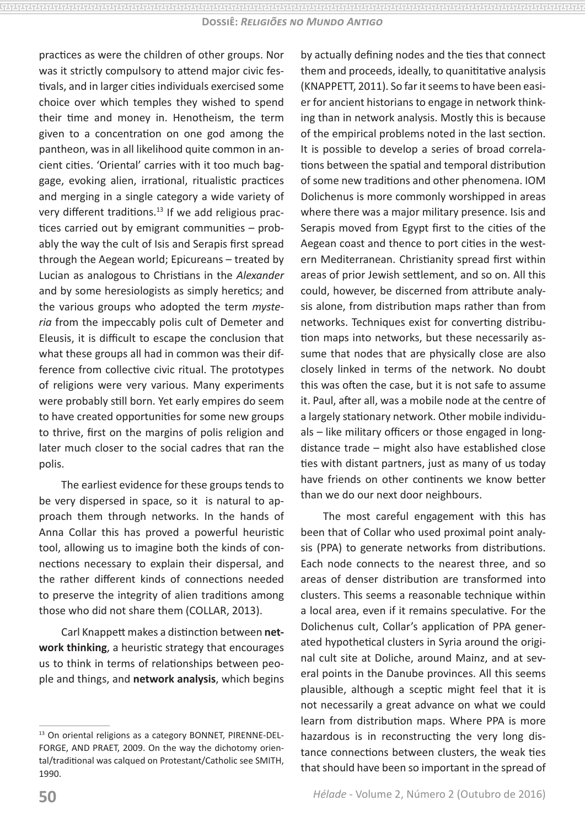practices as were the children of other groups. Nor was it strictly compulsory to attend major civic festivals, and in larger cities individuals exercised some choice over which temples they wished to spend their time and money in. Henotheism, the term given to a concentration on one god among the pantheon, was in all likelihood quite common in ancient cities. 'Oriental' carries with it too much baggage, evoking alien, irrational, ritualistic practices and merging in a single category a wide variety of very different traditions.<sup>13</sup> If we add religious practices carried out by emigrant communities – probably the way the cult of Isis and Serapis first spread through the Aegean world; Epicureans – treated by Lucian as analogous to Christians in the *Alexander* and by some heresiologists as simply heretics; and the various groups who adopted the term *mysteria* from the impeccably polis cult of Demeter and Eleusis, it is difficult to escape the conclusion that what these groups all had in common was their difference from collective civic ritual. The prototypes of religions were very various. Many experiments were probably still born. Yet early empires do seem to have created opportunities for some new groups to thrive, first on the margins of polis religion and later much closer to the social cadres that ran the polis.

The earliest evidence for these groups tends to be very dispersed in space, so it is natural to approach them through networks. In the hands of Anna Collar this has proved a powerful heuristic tool, allowing us to imagine both the kinds of connections necessary to explain their dispersal, and the rather different kinds of connections needed to preserve the integrity of alien traditions among those who did not share them (COLLAR, 2013).

Carl Knappett makes a distinction between **network thinking**, a heuristic strategy that encourages us to think in terms of relationships between people and things, and **network analysis**, which begins by actually defining nodes and the ties that connect them and proceeds, ideally, to quanititative analysis (KNAPPETT, 2011). So far it seems to have been easier for ancient historians to engage in network thinking than in network analysis. Mostly this is because of the empirical problems noted in the last section. It is possible to develop a series of broad correlations between the spatial and temporal distribution of some new traditions and other phenomena. IOM Dolichenus is more commonly worshipped in areas where there was a major military presence. Isis and Serapis moved from Egypt first to the cities of the Aegean coast and thence to port cities in the western Mediterranean. Christianity spread first within areas of prior Jewish settlement, and so on. All this could, however, be discerned from attribute analysis alone, from distribution maps rather than from networks. Techniques exist for converting distribution maps into networks, but these necessarily assume that nodes that are physically close are also closely linked in terms of the network. No doubt this was often the case, but it is not safe to assume it. Paul, after all, was a mobile node at the centre of a largely stationary network. Other mobile individuals – like military officers or those engaged in longdistance trade – might also have established close ties with distant partners, just as many of us today have friends on other continents we know better than we do our next door neighbours.

The most careful engagement with this has been that of Collar who used proximal point analysis (PPA) to generate networks from distributions. Each node connects to the nearest three, and so areas of denser distribution are transformed into clusters. This seems a reasonable technique within a local area, even if it remains speculative. For the Dolichenus cult, Collar's application of PPA generated hypothetical clusters in Syria around the original cult site at Doliche, around Mainz, and at several points in the Danube provinces. All this seems plausible, although a sceptic might feel that it is not necessarily a great advance on what we could learn from distribution maps. Where PPA is more hazardous is in reconstructing the very long distance connections between clusters, the weak ties that should have been so important in the spread of

<sup>13</sup> On oriental religions as a category BONNET, PIRENNE-DEL-FORGE, AND PRAET, 2009. On the way the dichotomy oriental/traditional was calqued on Protestant/Catholic see SMITH, 1990.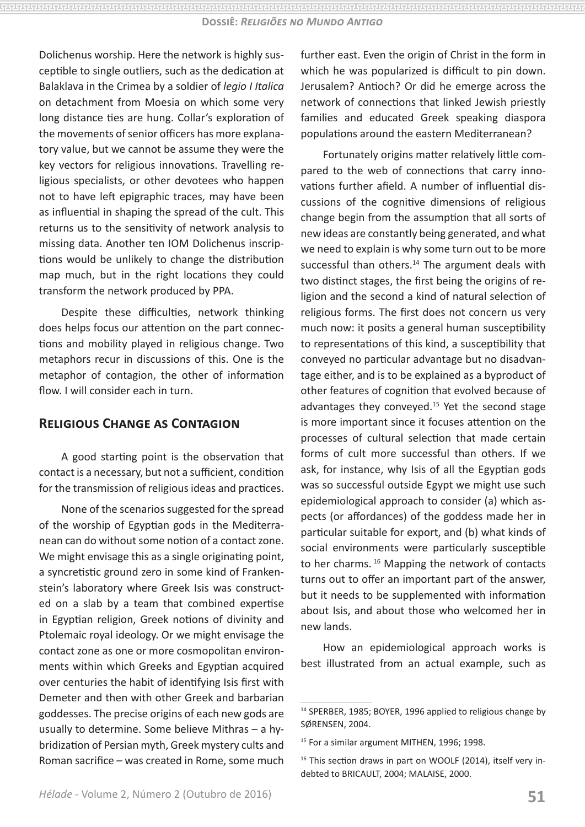Dolichenus worship. Here the network is highly susceptible to single outliers, such as the dedication at Balaklava in the Crimea by a soldier of *legio I Italica* on detachment from Moesia on which some very long distance ties are hung. Collar's exploration of the movements of senior officers has more explanatory value, but we cannot be assume they were the key vectors for religious innovations. Travelling religious specialists, or other devotees who happen not to have left epigraphic traces, may have been as influential in shaping the spread of the cult. This returns us to the sensitivity of network analysis to missing data. Another ten IOM Dolichenus inscriptions would be unlikely to change the distribution map much, but in the right locations they could transform the network produced by PPA.

Despite these difficulties, network thinking does helps focus our attention on the part connections and mobility played in religious change. Two metaphors recur in discussions of this. One is the metaphor of contagion, the other of information flow. I will consider each in turn.

## **Religious Change as Contagion**

A good starting point is the observation that contact is a necessary, but not a sufficient, condition for the transmission of religious ideas and practices.

None of the scenarios suggested for the spread of the worship of Egyptian gods in the Mediterranean can do without some notion of a contact zone. We might envisage this as a single originating point, a syncretistic ground zero in some kind of Frankenstein's laboratory where Greek Isis was constructed on a slab by a team that combined expertise in Egyptian religion, Greek notions of divinity and Ptolemaic royal ideology. Or we might envisage the contact zone as one or more cosmopolitan environments within which Greeks and Egyptian acquired over centuries the habit of identifying Isis first with Demeter and then with other Greek and barbarian goddesses. The precise origins of each new gods are usually to determine. Some believe Mithras – a hybridization of Persian myth, Greek mystery cults and Roman sacrifice – was created in Rome, some much further east. Even the origin of Christ in the form in which he was popularized is difficult to pin down. Jerusalem? Antioch? Or did he emerge across the network of connections that linked Jewish priestly families and educated Greek speaking diaspora populations around the eastern Mediterranean?

Fortunately origins matter relatively little compared to the web of connections that carry innovations further afield. A number of influential discussions of the cognitive dimensions of religious change begin from the assumption that all sorts of new ideas are constantly being generated, and what we need to explain is why some turn out to be more successful than others.<sup>14</sup> The argument deals with two distinct stages, the first being the origins of religion and the second a kind of natural selection of religious forms. The first does not concern us very much now: it posits a general human susceptibility to representations of this kind, a susceptibility that conveyed no particular advantage but no disadvantage either, and is to be explained as a byproduct of other features of cognition that evolved because of advantages they conveyed.15 Yet the second stage is more important since it focuses attention on the processes of cultural selection that made certain forms of cult more successful than others. If we ask, for instance, why Isis of all the Egyptian gods was so successful outside Egypt we might use such epidemiological approach to consider (a) which aspects (or affordances) of the goddess made her in particular suitable for export, and (b) what kinds of social environments were particularly susceptible to her charms. 16 Mapping the network of contacts turns out to offer an important part of the answer, but it needs to be supplemented with information about Isis, and about those who welcomed her in new lands.

How an epidemiological approach works is best illustrated from an actual example, such as

<sup>&</sup>lt;sup>14</sup> SPERBER, 1985; BOYER, 1996 applied to religious change by SØRENSEN, 2004.

<sup>&</sup>lt;sup>15</sup> For a similar argument MITHEN, 1996; 1998.

<sup>&</sup>lt;sup>16</sup> This section draws in part on WOOLF (2014), itself very indebted to BRICAULT, 2004; MALAISE, 2000.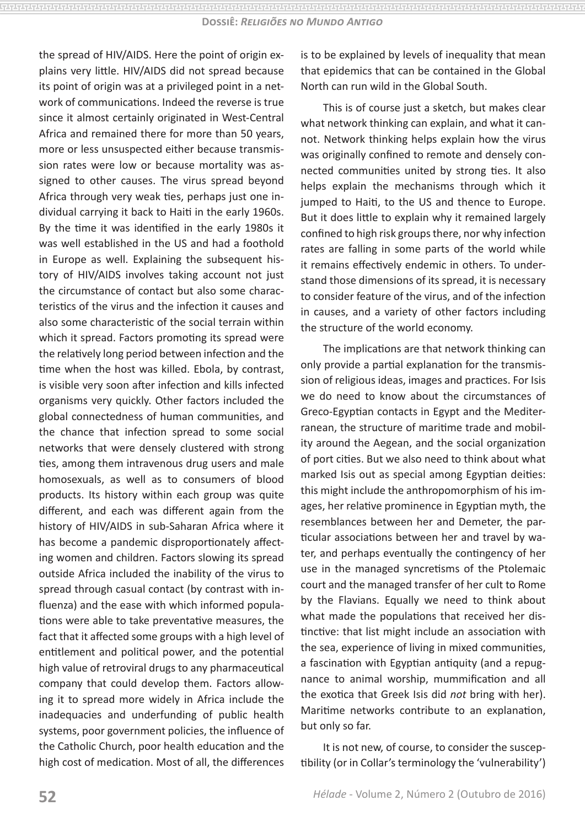the spread of HIV/AIDS. Here the point of origin explains very little. HIV/AIDS did not spread because its point of origin was at a privileged point in a network of communications. Indeed the reverse is true since it almost certainly originated in West-Central Africa and remained there for more than 50 years, more or less unsuspected either because transmission rates were low or because mortality was assigned to other causes. The virus spread beyond Africa through very weak ties, perhaps just one individual carrying it back to Haiti in the early 1960s. By the time it was identified in the early 1980s it was well established in the US and had a foothold in Europe as well. Explaining the subsequent history of HIV/AIDS involves taking account not just the circumstance of contact but also some characteristics of the virus and the infection it causes and also some characteristic of the social terrain within which it spread. Factors promoting its spread were the relatively long period between infection and the time when the host was killed. Ebola, by contrast, is visible very soon after infection and kills infected organisms very quickly. Other factors included the global connectedness of human communities, and the chance that infection spread to some social networks that were densely clustered with strong ties, among them intravenous drug users and male homosexuals, as well as to consumers of blood products. Its history within each group was quite different, and each was different again from the history of HIV/AIDS in sub-Saharan Africa where it has become a pandemic disproportionately affecting women and children. Factors slowing its spread outside Africa included the inability of the virus to spread through casual contact (by contrast with influenza) and the ease with which informed populations were able to take preventative measures, the fact that it affected some groups with a high level of entitlement and political power, and the potential high value of retroviral drugs to any pharmaceutical company that could develop them. Factors allowing it to spread more widely in Africa include the inadequacies and underfunding of public health systems, poor government policies, the influence of the Catholic Church, poor health education and the high cost of medication. Most of all, the differences is to be explained by levels of inequality that mean that epidemics that can be contained in the Global North can run wild in the Global South.

This is of course just a sketch, but makes clear what network thinking can explain, and what it cannot. Network thinking helps explain how the virus was originally confined to remote and densely connected communities united by strong ties. It also helps explain the mechanisms through which it jumped to Haiti, to the US and thence to Europe. But it does little to explain why it remained largely confined to high risk groups there, nor why infection rates are falling in some parts of the world while it remains effectively endemic in others. To understand those dimensions of its spread, it is necessary to consider feature of the virus, and of the infection in causes, and a variety of other factors including the structure of the world economy.

The implications are that network thinking can only provide a partial explanation for the transmission of religious ideas, images and practices. For Isis we do need to know about the circumstances of Greco-Egyptian contacts in Egypt and the Mediterranean, the structure of maritime trade and mobility around the Aegean, and the social organization of port cities. But we also need to think about what marked Isis out as special among Egyptian deities: this might include the anthropomorphism of his images, her relative prominence in Egyptian myth, the resemblances between her and Demeter, the particular associations between her and travel by water, and perhaps eventually the contingency of her use in the managed syncretisms of the Ptolemaic court and the managed transfer of her cult to Rome by the Flavians. Equally we need to think about what made the populations that received her distinctive: that list might include an association with the sea, experience of living in mixed communities, a fascination with Egyptian antiquity (and a repugnance to animal worship, mummification and all the exotica that Greek Isis did *not* bring with her). Maritime networks contribute to an explanation, but only so far.

It is not new, of course, to consider the susceptibility (or in Collar's terminology the 'vulnerability')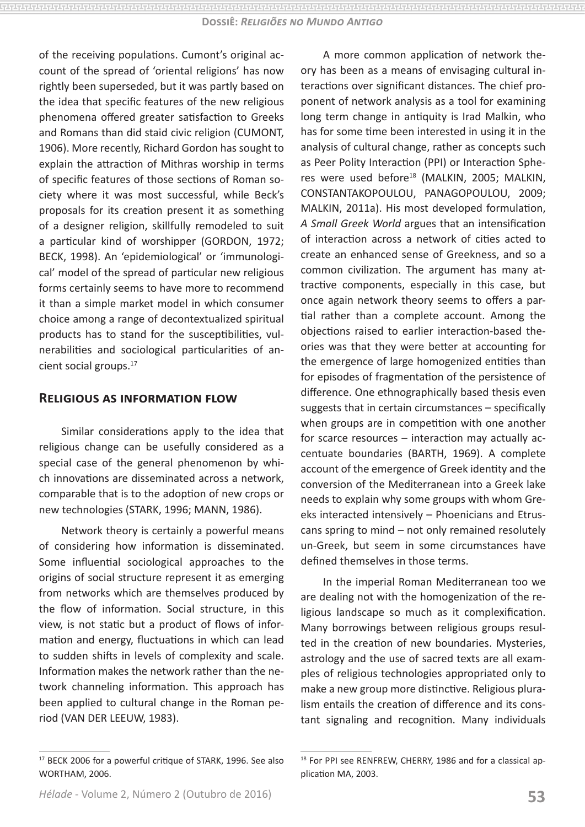of the receiving populations. Cumont's original account of the spread of 'oriental religions' has now rightly been superseded, but it was partly based on the idea that specific features of the new religious phenomena offered greater satisfaction to Greeks and Romans than did staid civic religion (CUMONT, 1906). More recently, Richard Gordon has sought to explain the attraction of Mithras worship in terms of specific features of those sections of Roman society where it was most successful, while Beck's proposals for its creation present it as something of a designer religion, skillfully remodeled to suit a particular kind of worshipper (GORDON, 1972; BECK, 1998). An 'epidemiological' or 'immunological' model of the spread of particular new religious forms certainly seems to have more to recommend it than a simple market model in which consumer choice among a range of decontextualized spiritual products has to stand for the susceptibilities, vulnerabilities and sociological particularities of ancient social groups.17

#### **Religious as information flow**

Similar considerations apply to the idea that religious change can be usefully considered as a special case of the general phenomenon by which innovations are disseminated across a network, comparable that is to the adoption of new crops or new technologies (STARK, 1996; MANN, 1986).

Network theory is certainly a powerful means of considering how information is disseminated. Some influential sociological approaches to the origins of social structure represent it as emerging from networks which are themselves produced by the flow of information. Social structure, in this view, is not static but a product of flows of information and energy, fluctuations in which can lead to sudden shifts in levels of complexity and scale. Information makes the network rather than the network channeling information. This approach has been applied to cultural change in the Roman period (VAN DER LEEUW, 1983).

A more common application of network theory has been as a means of envisaging cultural interactions over significant distances. The chief proponent of network analysis as a tool for examining long term change in antiquity is Irad Malkin, who has for some time been interested in using it in the analysis of cultural change, rather as concepts such as Peer Polity Interaction (PPI) or Interaction Spheres were used before<sup>18</sup> (MALKIN, 2005; MALKIN, CONSTANTAKOPOULOU, PANAGOPOULOU, 2009; MALKIN, 2011a). His most developed formulation, *A Small Greek World* argues that an intensification of interaction across a network of cities acted to create an enhanced sense of Greekness, and so a common civilization. The argument has many attractive components, especially in this case, but once again network theory seems to offers a partial rather than a complete account. Among the objections raised to earlier interaction-based theories was that they were better at accounting for the emergence of large homogenized entities than for episodes of fragmentation of the persistence of difference. One ethnographically based thesis even suggests that in certain circumstances – specifically when groups are in competition with one another for scarce resources – interaction may actually accentuate boundaries (BARTH, 1969). A complete account of the emergence of Greek identity and the conversion of the Mediterranean into a Greek lake needs to explain why some groups with whom Greeks interacted intensively – Phoenicians and Etruscans spring to mind – not only remained resolutely un-Greek, but seem in some circumstances have defined themselves in those terms.

In the imperial Roman Mediterranean too we are dealing not with the homogenization of the religious landscape so much as it complexification. Many borrowings between religious groups resulted in the creation of new boundaries. Mysteries, astrology and the use of sacred texts are all examples of religious technologies appropriated only to make a new group more distinctive. Religious pluralism entails the creation of difference and its constant signaling and recognition. Many individuals

<sup>&</sup>lt;sup>17</sup> BECK 2006 for a powerful critique of STARK, 1996. See also WORTHAM, 2006.

<sup>&</sup>lt;sup>18</sup> For PPI see RENFREW, CHERRY, 1986 and for a classical application MA, 2003.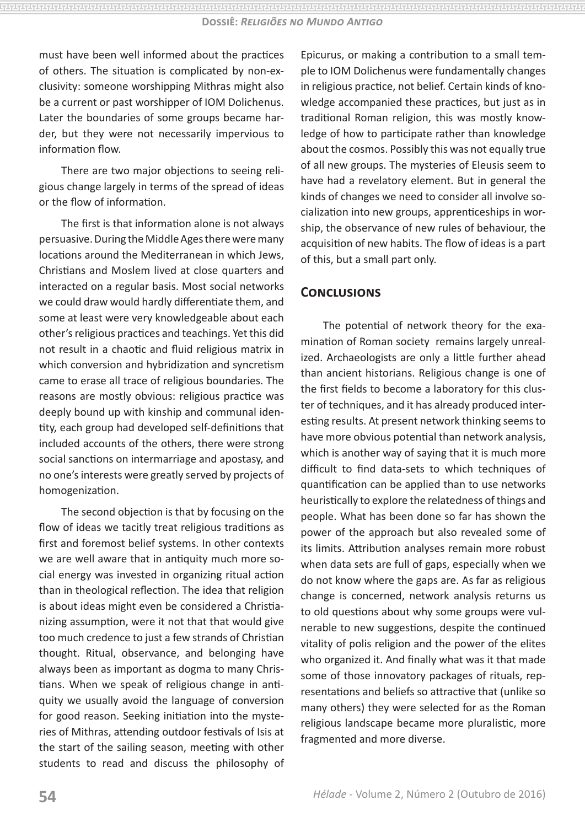must have been well informed about the practices of others. The situation is complicated by non-exclusivity: someone worshipping Mithras might also be a current or past worshipper of IOM Dolichenus. Later the boundaries of some groups became harder, but they were not necessarily impervious to information flow.

There are two major objections to seeing religious change largely in terms of the spread of ideas or the flow of information.

The first is that information alone is not always persuasive. During the Middle Ages there were many locations around the Mediterranean in which Jews, Christians and Moslem lived at close quarters and interacted on a regular basis. Most social networks we could draw would hardly differentiate them, and some at least were very knowledgeable about each other's religious practices and teachings. Yet this did not result in a chaotic and fluid religious matrix in which conversion and hybridization and syncretism came to erase all trace of religious boundaries. The reasons are mostly obvious: religious practice was deeply bound up with kinship and communal identity, each group had developed self-definitions that included accounts of the others, there were strong social sanctions on intermarriage and apostasy, and no one's interests were greatly served by projects of homogenization.

The second objection is that by focusing on the flow of ideas we tacitly treat religious traditions as first and foremost belief systems. In other contexts we are well aware that in antiquity much more social energy was invested in organizing ritual action than in theological reflection. The idea that religion is about ideas might even be considered a Christianizing assumption, were it not that that would give too much credence to just a few strands of Christian thought. Ritual, observance, and belonging have always been as important as dogma to many Christians. When we speak of religious change in antiquity we usually avoid the language of conversion for good reason. Seeking initiation into the mysteries of Mithras, attending outdoor festivals of Isis at the start of the sailing season, meeting with other students to read and discuss the philosophy of Epicurus, or making a contribution to a small temple to IOM Dolichenus were fundamentally changes in religious practice, not belief. Certain kinds of knowledge accompanied these practices, but just as in traditional Roman religion, this was mostly knowledge of how to participate rather than knowledge about the cosmos. Possibly this was not equally true of all new groups. The mysteries of Eleusis seem to have had a revelatory element. But in general the kinds of changes we need to consider all involve socialization into new groups, apprenticeships in worship, the observance of new rules of behaviour, the acquisition of new habits. The flow of ideas is a part of this, but a small part only.

## **Conclusions**

The potential of network theory for the examination of Roman society remains largely unrealized. Archaeologists are only a little further ahead than ancient historians. Religious change is one of the first fields to become a laboratory for this cluster of techniques, and it has already produced interesting results. At present network thinking seems to have more obvious potential than network analysis, which is another way of saying that it is much more difficult to find data-sets to which techniques of quantification can be applied than to use networks heuristically to explore the relatedness of things and people. What has been done so far has shown the power of the approach but also revealed some of its limits. Attribution analyses remain more robust when data sets are full of gaps, especially when we do not know where the gaps are. As far as religious change is concerned, network analysis returns us to old questions about why some groups were vulnerable to new suggestions, despite the continued vitality of polis religion and the power of the elites who organized it. And finally what was it that made some of those innovatory packages of rituals, representations and beliefs so attractive that (unlike so many others) they were selected for as the Roman religious landscape became more pluralistic, more fragmented and more diverse.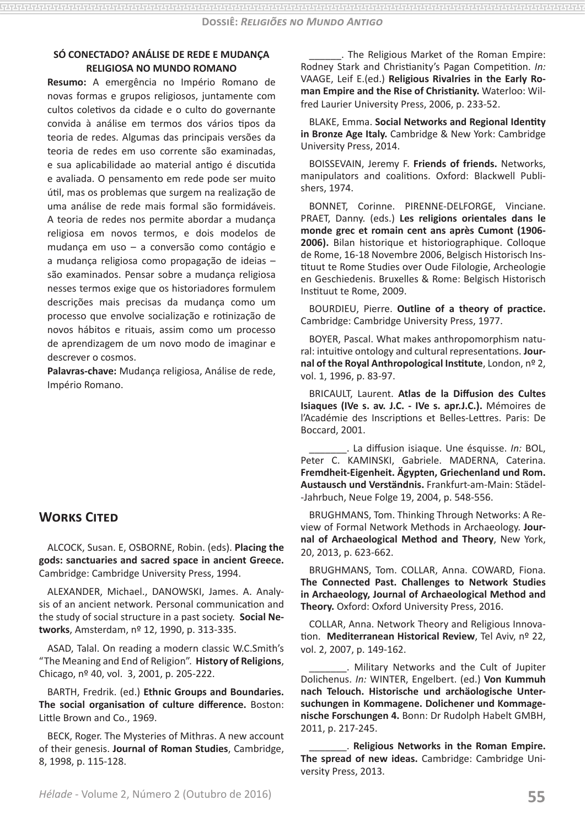**Dossiê:** *Religiões no Mundo Antigo*

#### **SÓ CONECTADO? ANÁLISE DE REDE E MUDANÇA RELIGIOSA NO MUNDO ROMANO**

**Resumo:** A emergência no Império Romano de novas formas e grupos religiosos, juntamente com cultos coletivos da cidade e o culto do governante convida à análise em termos dos vários tipos da teoria de redes. Algumas das principais versões da teoria de redes em uso corrente são examinadas, e sua aplicabilidade ao material antigo é discutida e avaliada. O pensamento em rede pode ser muito útil, mas os problemas que surgem na realização de uma análise de rede mais formal são formidáveis. A teoria de redes nos permite abordar a mudança religiosa em novos termos, e dois modelos de mudança em uso – a conversão como contágio e a mudança religiosa como propagação de ideias – são examinados. Pensar sobre a mudança religiosa nesses termos exige que os historiadores formulem descrições mais precisas da mudança como um processo que envolve socialização e rotinização de novos hábitos e rituais, assim como um processo de aprendizagem de um novo modo de imaginar e descrever o cosmos.

**Palavras-chave:** Mudança religiosa, Análise de rede, Império Romano.

## **Works Cited**

ALCOCK, Susan. E, OSBORNE, Robin. (eds). **Placing the gods: sanctuaries and sacred space in ancient Greece.** Cambridge: Cambridge University Press, 1994.

ALEXANDER, Michael., DANOWSKI, James. A. Analysis of an ancient network. Personal communication and the study of social structure in a past society. **Social Networks**, Amsterdam, nº 12, 1990, p. 313-335.

ASAD, Talal. On reading a modern classic W.C.Smith's "The Meaning and End of Religion". **History of Religions**, Chicago, nº 40, vol. 3, 2001, p. 205-222.

BARTH, Fredrik. (ed.) **Ethnic Groups and Boundaries. The social organisation of culture difference.** Boston: Little Brown and Co., 1969.

BECK, Roger. The Mysteries of Mithras. A new account of their genesis. **Journal of Roman Studies**, Cambridge, 8, 1998, p. 115-128.

\_\_\_\_\_\_. The Religious Market of the Roman Empire: Rodney Stark and Christianity's Pagan Competition. *In:* VAAGE, Leif E.(ed.) **Religious Rivalries in the Early Roman Empire and the Rise of Christianity.** Waterloo: Wilfred Laurier University Press, 2006, p. 233-52.

BLAKE, Emma. **Social Networks and Regional Identity in Bronze Age Italy.** Cambridge & New York: Cambridge University Press, 2014.

BOISSEVAIN, Jeremy F. **Friends of friends.** Networks, manipulators and coalitions. Oxford: Blackwell Publishers, 1974.

BONNET, Corinne. PIRENNE-DELFORGE, Vinciane. PRAET, Danny. (eds.) **Les religions orientales dans le monde grec et romain cent ans après Cumont (1906- 2006).** Bilan historique et historiographique. Colloque de Rome, 16-18 Novembre 2006, Belgisch Historisch Instituut te Rome Studies over Oude Filologie, Archeologie en Geschiedenis. Bruxelles & Rome: Belgisch Historisch Instituut te Rome, 2009.

BOURDIEU, Pierre. **Outline of a theory of practice.** Cambridge: Cambridge University Press, 1977.

BOYER, Pascal. What makes anthropomorphism natural: intuitive ontology and cultural representations. **Journal of the Royal Anthropological Institute**, London, nº 2, vol. 1, 1996, p. 83-97.

BRICAULT, Laurent. **Atlas de la Diffusion des Cultes Isiaques (IVe s. av. J.C. - IVe s. apr.J.C.).** Mémoires de l'Académie des Inscriptions et Belles-Lettres. Paris: De Boccard, 2001.

\_\_\_\_\_\_\_. La diffusion isiaque. Une ésquisse. *In:* BOL, Peter C. KAMINSKI, Gabriele. MADERNA, Caterina. **Fremdheit-Eigenheit. Ägypten, Griechenland und Rom. Austausch und Verständnis.** Frankfurt-am-Main: Städel- -Jahrbuch, Neue Folge 19, 2004, p. 548-556.

BRUGHMANS, Tom. Thinking Through Networks: A Review of Formal Network Methods in Archaeology. **Journal of Archaeological Method and Theory**, New York, 20, 2013, p. 623-662.

BRUGHMANS, Tom. COLLAR, Anna. COWARD, Fiona. **The Connected Past. Challenges to Network Studies in Archaeology, Journal of Archaeological Method and Theory.** Oxford: Oxford University Press, 2016.

COLLAR, Anna. Network Theory and Religious Innovation. **Mediterranean Historical Review**, Tel Aviv, nº 22, vol. 2, 2007, p. 149-162.

\_\_\_\_\_\_\_. Military Networks and the Cult of Jupiter Dolichenus. *In:* WINTER, Engelbert. (ed.) **Von Kummuh nach Telouch. Historische und archäologische Untersuchungen in Kommagene. Dolichener und Kommagenische Forschungen 4.** Bonn: Dr Rudolph Habelt GMBH, 2011, p. 217-245.

\_\_\_\_\_\_\_. **Religious Networks in the Roman Empire. The spread of new ideas.** Cambridge: Cambridge University Press, 2013.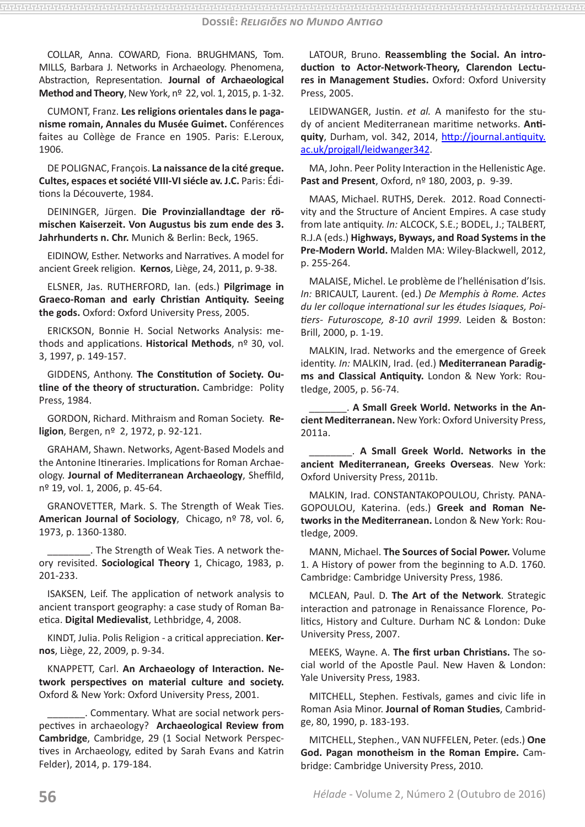COLLAR, Anna. COWARD, Fiona. BRUGHMANS, Tom. MILLS, Barbara J. Networks in Archaeology. Phenomena, Abstraction, Representation. **Journal of Archaeological Method and Theory**, New York, nº 22, vol. 1, 2015, p. 1-32.

CUMONT, Franz. **Les religions orientales dans le paganisme romain, Annales du Musée Guimet.** Conférences faites au Collège de France en 1905. Paris: E.Leroux, 1906.

DE POLIGNAC, François. **La naissance de la cité greque. Cultes, espaces et société VIII-VI siécle av. J.C.** Paris: Éditions la Découverte, 1984.

DEININGER, Jürgen. **Die Provinziallandtage der römischen Kaiserzeit. Von Augustus bis zum ende des 3. Jahrhunderts n. Chr.** Munich & Berlin: Beck, 1965.

EIDINOW, Esther. Networks and Narratives. A model for ancient Greek religion. **Kernos**, Liège, 24, 2011, p. 9-38.

ELSNER, Jas. RUTHERFORD, Ian. (eds.) **Pilgrimage in Graeco-Roman and early Christian Antiquity. Seeing the gods.** Oxford: Oxford University Press, 2005.

ERICKSON, Bonnie H. Social Networks Analysis: methods and applications. **Historical Methods**, nº 30, vol. 3, 1997, p. 149-157.

GIDDENS, Anthony. **The Constitution of Society. Outline of the theory of structuration.** Cambridge: Polity Press, 1984.

GORDON, Richard. Mithraism and Roman Society. **Religion**, Bergen, nº 2, 1972, p. 92-121.

GRAHAM, Shawn. Networks, Agent-Based Models and the Antonine Itineraries. Implications for Roman Archaeology. **Journal of Mediterranean Archaeology**, Sheffild, nº 19, vol. 1, 2006, p. 45-64.

GRANOVETTER, Mark. S. The Strength of Weak Ties. **American Journal of Sociology**, Chicago, nº 78, vol. 6, 1973, p. 1360-1380.

\_\_\_\_\_\_\_\_. The Strength of Weak Ties. A network theory revisited. **Sociological Theory** 1, Chicago, 1983, p. 201-233.

ISAKSEN, Leif. The application of network analysis to ancient transport geography: a case study of Roman Baetica. **Digital Medievalist**, Lethbridge, 4, 2008.

KINDT, Julia. Polis Religion - a critical appreciation. **Kernos**, Liège, 22, 2009, p. 9-34.

KNAPPETT, Carl. **An Archaeology of Interaction. Network perspectives on material culture and society.** Oxford & New York: Oxford University Press, 2001.

\_\_\_\_\_\_\_. Commentary. What are social network perspectives in archaeology? **Archaeological Review from Cambridge**, Cambridge, 29 (1 Social Network Perspectives in Archaeology, edited by Sarah Evans and Katrin Felder), 2014, p. 179-184.

LATOUR, Bruno. **Reassembling the Social. An introduction to Actor-Network-Theory, Clarendon Lectures in Management Studies.** Oxford: Oxford University Press, 2005.

LEIDWANGER, Justin. *et al.* A manifesto for the study of ancient Mediterranean maritime networks. **Antiquity**, Durham, vol. 342, 2014, http://journal.antiquity. ac.uk/projgall/leidwanger342.

MA, John. Peer Polity Interaction in the Hellenistic Age. **Past and Present**, Oxford, nº 180, 2003, p. 9-39.

MAAS, Michael. RUTHS, Derek. 2012. Road Connectivity and the Structure of Ancient Empires. A case study from late antiquity. *In:* ALCOCK, S.E.; BODEL, J.; TALBERT, R.J.A (eds.) **Highways, Byways, and Road Systems in the Pre-Modern World.** Malden MA: Wiley-Blackwell, 2012, p. 255-264.

MALAISE, Michel. Le problème de l'hellénisation d'Isis. *In:* BRICAULT, Laurent. (ed.) *De Memphis à Rome. Actes du Ier colloque international sur les études Isiaques, Poitiers- Futuroscope, 8-10 avril 1999*. Leiden & Boston: Brill, 2000, p. 1-19.

MALKIN, Irad. Networks and the emergence of Greek identity. *In:* MALKIN, Irad. (ed.) **Mediterranean Paradigms and Classical Antiquity.** London & New York: Routledge, 2005, p. 56-74.

\_\_\_\_\_\_\_. **A Small Greek World. Networks in the Ancient Mediterranean.** New York: Oxford University Press, 2011a.

\_\_\_\_\_\_\_\_. **A Small Greek World. Networks in the ancient Mediterranean, Greeks Overseas**. New York: Oxford University Press, 2011b.

MALKIN, Irad. CONSTANTAKOPOULOU, Christy. PANA-GOPOULOU, Katerina. (eds.) **Greek and Roman Networks in the Mediterranean.** London & New York: Routledge, 2009.

MANN, Michael. **The Sources of Social Power.** Volume 1. A History of power from the beginning to A.D. 1760. Cambridge: Cambridge University Press, 1986.

MCLEAN, Paul. D. **The Art of the Network**. Strategic interaction and patronage in Renaissance Florence, Politics, History and Culture. Durham NC & London: Duke University Press, 2007.

MEEKS, Wayne. A. **The first urban Christians.** The social world of the Apostle Paul. New Haven & London: Yale University Press, 1983.

MITCHELL, Stephen. Festivals, games and civic life in Roman Asia Minor. **Journal of Roman Studies**, Cambridge, 80, 1990, p. 183-193.

MITCHELL, Stephen., VAN NUFFELEN, Peter. (eds.) **One God. Pagan monotheism in the Roman Empire.** Cambridge: Cambridge University Press, 2010.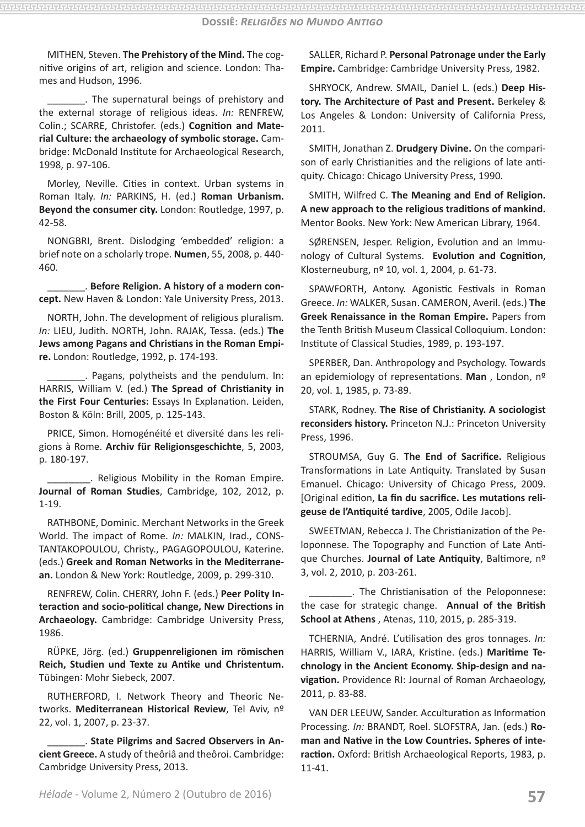MITHEN, Steven. **The Prehistory of the Mind.** The cognitive origins of art, religion and science. London: Thames and Hudson, 1996.

\_\_\_\_\_\_\_. The supernatural beings of prehistory and the external storage of religious ideas. *In:* RENFREW, Colin.; SCARRE, Christofer. (eds.) **Cognition and Material Culture: the archaeology of symbolic storage.** Cambridge: McDonald Institute for Archaeological Research, 1998, p. 97-106.

Morley, Neville. Cities in context. Urban systems in Roman Italy. *In:* PARKINS, H. (ed.) **Roman Urbanism. Beyond the consumer city.** London: Routledge, 1997, p. 42-58.

NONGBRI, Brent. Dislodging 'embedded' religion: a brief note on a scholarly trope. **Numen**, 55, 2008, p. 440- 460.

\_\_\_\_\_\_\_. **Before Religion. A history of a modern concept.** New Haven & London: Yale University Press, 2013.

NORTH, John. The development of religious pluralism. *In:* LIEU, Judith. NORTH, John. RAJAK, Tessa. (eds.) **The Jews among Pagans and Christians in the Roman Empire.** London: Routledge, 1992, p. 174-193.

\_\_\_\_\_\_\_. Pagans, polytheists and the pendulum. In: HARRIS, William V. (ed.) **The Spread of Christianity in the First Four Centuries:** Essays In Explanation. Leiden, Boston & Köln: Brill, 2005, p. 125-143.

PRICE, Simon. Homogénéité et diversité dans les religions à Rome. **Archiv für Religionsgeschichte**, 5, 2003, p. 180-197.

\_\_\_\_\_\_\_\_. Religious Mobility in the Roman Empire. **Journal of Roman Studies**, Cambridge, 102, 2012, p. 1-19.

RATHBONE, Dominic. Merchant Networks in the Greek World. The impact of Rome. *In:* MALKIN, Irad., CONS-TANTAKOPOULOU, Christy., PAGAGOPOULOU, Katerine. (eds.) **Greek and Roman Networks in the Mediterranean.** London & New York: Routledge, 2009, p. 299-310.

RENFREW, Colin. CHERRY, John F. (eds.) **Peer Polity Interaction and socio-political change, New Directions in Archaeology.** Cambridge: Cambridge University Press, 1986.

RÜPKE, Jörg. (ed.) **Gruppenreligionen im römischen Reich, Studien und Texte zu Antike und Christentum.** Tübingen: Mohr Siebeck, 2007.

RUTHERFORD, I. Network Theory and Theoric Networks. **Mediterranean Historical Review**, Tel Aviv, nº 22, vol. 1, 2007, p. 23-37.

\_\_\_\_\_\_\_. **State Pilgrims and Sacred Observers in Ancient Greece.** A study of theôriâ and theôroi. Cambridge: Cambridge University Press, 2013.

SALLER, Richard P. **Personal Patronage under the Early Empire.** Cambridge: Cambridge University Press, 1982.

SHRYOCK, Andrew. SMAIL, Daniel L. (eds.) **Deep History. The Architecture of Past and Present.** Berkeley & Los Angeles & London: University of California Press, 2011.

SMITH, Jonathan Z. **Drudgery Divine.** On the comparison of early Christianities and the religions of late antiquity. Chicago: Chicago University Press, 1990.

SMITH, Wilfred C. **The Meaning and End of Religion. A new approach to the religious traditions of mankind.** Mentor Books. New York: New American Library, 1964.

SØRENSEN, Jesper. Religion, Evolution and an Immunology of Cultural Systems. **Evolution and Cognition**, Klosterneuburg, nº 10, vol. 1, 2004, p. 61-73.

SPAWFORTH, Antony. Agonistic Festivals in Roman Greece. *In:* WALKER, Susan. CAMERON, Averil. (eds.) **The Greek Renaissance in the Roman Empire.** Papers from the Tenth British Museum Classical Colloquium. London: Institute of Classical Studies, 1989, p. 193-197.

SPERBER, Dan. Anthropology and Psychology. Towards an epidemiology of representations. **Man** , London, nº 20, vol. 1, 1985, p. 73-89.

STARK, Rodney. **The Rise of Christianity. A sociologist reconsiders history.** Princeton N.J.: Princeton University Press, 1996.

STROUMSA, Guy G. **The End of Sacrifice.** Religious Transformations in Late Antiquity. Translated by Susan Emanuel. Chicago: University of Chicago Press, 2009. [Original edition, **La fin du sacrifice. Les mutations religeuse de l'Antiquité tardive**, 2005, Odile Jacob].

SWEETMAN, Rebecca J. The Christianization of the Peloponnese. The Topography and Function of Late Antique Churches. **Journal of Late Antiquity**, Baltimore, nº 3, vol. 2, 2010, p. 203-261.

\_\_\_\_\_\_\_\_. The Christianisation of the Peloponnese: the case for strategic change. **Annual of the British School at Athens** , Atenas, 110, 2015, p. 285-319.

TCHERNIA, André. L'utilisation des gros tonnages. *In:*  HARRIS, William V., IARA, Kristine. (eds.) **Maritime Technology in the Ancient Economy. Ship-design and navigation.** Providence RI: Journal of Roman Archaeology, 2011, p. 83-88.

VAN DER LEEUW, Sander. Acculturation as Information Processing. *In:* BRANDT, Roel. SLOFSTRA, Jan. (eds.) **Roman and Native in the Low Countries. Spheres of interaction.** Oxford: British Archaeological Reports, 1983, p. 11-41.